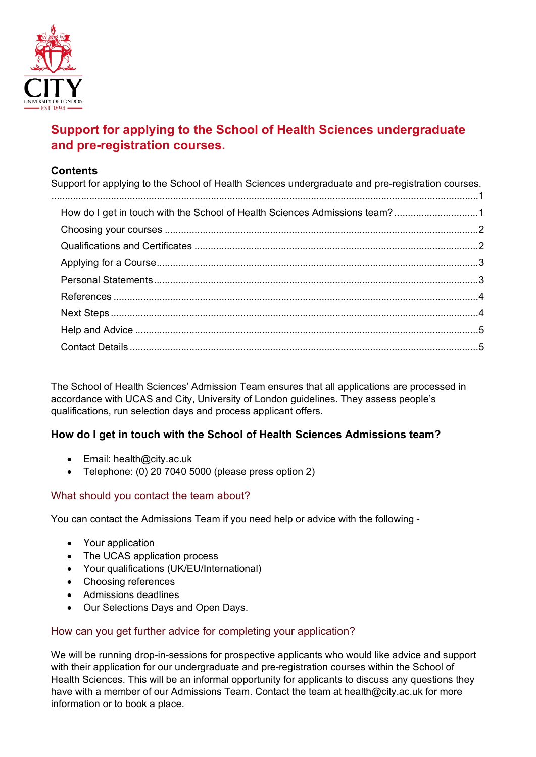

# <span id="page-0-0"></span>**Support for applying to the School of Health Sciences undergraduate and pre-registration courses.**

## **Contents**

| Support for applying to the School of Health Sciences undergraduate and pre-registration courses. |  |
|---------------------------------------------------------------------------------------------------|--|
| How do I get in touch with the School of Health Sciences Admissions team?1                        |  |
|                                                                                                   |  |
|                                                                                                   |  |
|                                                                                                   |  |
|                                                                                                   |  |
|                                                                                                   |  |
|                                                                                                   |  |
|                                                                                                   |  |
|                                                                                                   |  |
|                                                                                                   |  |

The School of Health Sciences' Admission Team ensures that all applications are processed in accordance with UCAS and City, University of London guidelines. They assess people's qualifications, run selection days and process applicant offers.

## <span id="page-0-1"></span>**How do I get in touch with the School of Health Sciences Admissions team?**

- Email: health@city.ac.uk
- Telephone: (0) 20 7040 5000 (please press option 2)

## What should you contact the team about?

You can contact the Admissions Team if you need help or advice with the following -

- Your application
- The UCAS application process
- Your qualifications (UK/EU/International)
- Choosing references
- Admissions deadlines
- Our Selections Days and Open Days.

## How can you get further advice for completing your application?

We will be running drop-in-sessions for prospective applicants who would like advice and support with their application for our undergraduate and pre-registration courses within the School of Health Sciences. This will be an informal opportunity for applicants to discuss any questions they have with a member of our Admissions Team. Contact the team at health@city.ac.uk for more information or to book a place.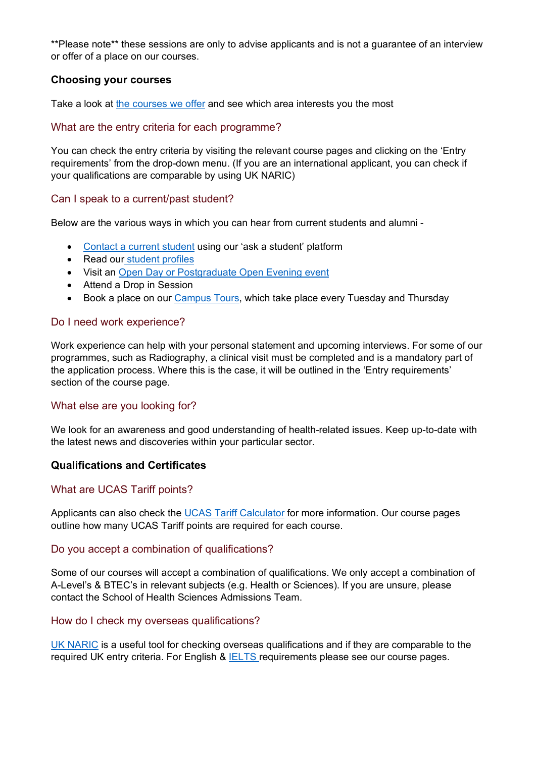\*\*Please note\*\* these sessions are only to advise applicants and is not a guarantee of an interview or offer of a place on our courses.

### <span id="page-1-0"></span>**Choosing your courses**

Take a look at [the courses we offer](https://www.city.ac.uk/prospective-students/courses) and see which area interests you the most

#### What are the entry criteria for each programme?

You can check the entry criteria by visiting the relevant course pages and clicking on the 'Entry requirements' from the drop-down menu. (If you are an international applicant, you can check if your qualifications are comparable by using UK NARIC)

#### Can I speak to a current/past student?

Below are the various ways in which you can hear from current students and alumni -

- [Contact a current student](https://www.city.ac.uk/prospective-students/open-events-and-fairs/online-chats/ask-a-student) using our 'ask a student' platform
- Read our [student profiles](https://www.city.ac.uk/about/people/students)
- Visit an [Open Day or Postgraduate Open Evening event](https://www.city.ac.uk/prospective-students/open-events-and-fairs)
- Attend a Drop in Session
- Book a place on our [Campus Tours,](https://www.city.ac.uk/prospective-students/open-events-and-fairs/campus-tours) which take place every Tuesday and Thursday

#### Do I need work experience?

Work experience can help with your personal statement and upcoming interviews. For some of our programmes, such as Radiography, a clinical visit must be completed and is a mandatory part of the application process. Where this is the case, it will be outlined in the 'Entry requirements' section of the course page.

## What else are you looking for?

We look for an awareness and good understanding of health-related issues. Keep up-to-date with the latest news and discoveries within your particular sector.

#### <span id="page-1-1"></span>**Qualifications and Certificates**

#### What are UCAS Tariff points?

Applicants can also check the [UCAS Tariff Calculator](https://www.ucas.com/undergraduate/what-and-where-study/entry-requirements/ucas-tariff-points) for more information. Our course pages outline how many UCAS Tariff points are required for each course.

#### Do you accept a combination of qualifications?

Some of our courses will accept a combination of qualifications. We only accept a combination of A-Level's & BTEC's in relevant subjects (e.g. Health or Sciences). If you are unsure, please contact the School of Health Sciences Admissions Team.

#### How do I check my overseas qualifications?

[UK NARIC](https://www.naric.org.uk/naric) is a useful tool for checking overseas qualifications and if they are comparable to the required UK entry criteria. For English & [IELTS r](https://www.ielts.org/)equirements please see our course pages.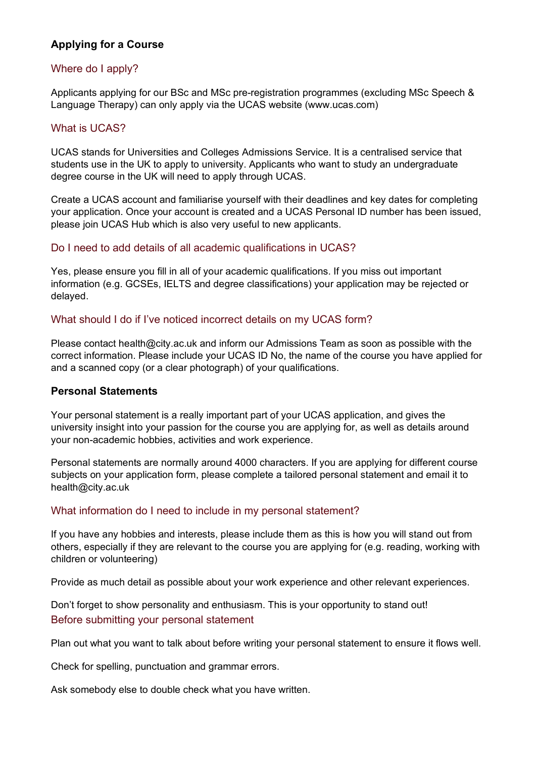## <span id="page-2-0"></span>**Applying for a Course**

## Where do I apply?

Applicants applying for our BSc and MSc pre-registration programmes (excluding MSc Speech & Language Therapy) can only apply via the UCAS website (www.ucas.com)

## What is UCAS?

UCAS stands for Universities and Colleges Admissions Service. It is a centralised service that students use in the UK to apply to university. Applicants who want to study an undergraduate degree course in the UK will need to apply through UCAS.

Create a UCAS account and familiarise yourself with their deadlines and key dates for completing your application. Once your account is created and a UCAS Personal ID number has been issued, please join UCAS Hub which is also very useful to new applicants.

#### Do I need to add details of all academic qualifications in UCAS?

Yes, please ensure you fill in all of your academic qualifications. If you miss out important information (e.g. GCSEs, IELTS and degree classifications) your application may be rejected or delayed.

## What should I do if I've noticed incorrect details on my UCAS form?

Please contact health@city.ac.uk and inform our Admissions Team as soon as possible with the correct information. Please include your UCAS ID No, the name of the course you have applied for and a scanned copy (or a clear photograph) of your qualifications.

#### <span id="page-2-1"></span>**Personal Statements**

Your personal statement is a really important part of your UCAS application, and gives the university insight into your passion for the course you are applying for, as well as details around your non-academic hobbies, activities and work experience.

Personal statements are normally around 4000 characters. If you are applying for different course subjects on your application form, please complete a tailored personal statement and email it to health@city.ac.uk

## What information do I need to include in my personal statement?

If you have any hobbies and interests, please include them as this is how you will stand out from others, especially if they are relevant to the course you are applying for (e.g. reading, working with children or volunteering)

Provide as much detail as possible about your work experience and other relevant experiences.

Don't forget to show personality and enthusiasm. This is your opportunity to stand out! Before submitting your personal statement

Plan out what you want to talk about before writing your personal statement to ensure it flows well.

Check for spelling, punctuation and grammar errors.

Ask somebody else to double check what you have written.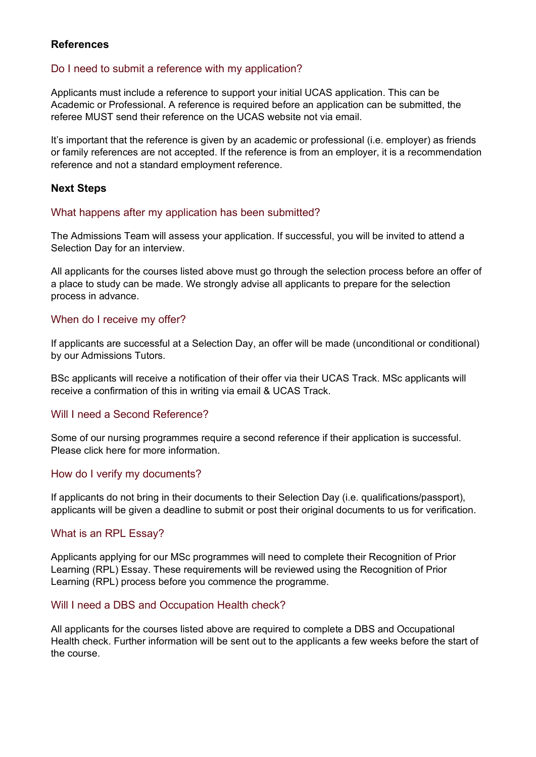#### <span id="page-3-0"></span>**References**

#### Do I need to submit a reference with my application?

Applicants must include a reference to support your initial UCAS application. This can be Academic or Professional. A reference is required before an application can be submitted, the referee MUST send their reference on the UCAS website not via email.

It's important that the reference is given by an academic or professional (i.e. employer) as friends or family references are not accepted. If the reference is from an employer, it is a recommendation reference and not a standard employment reference.

#### <span id="page-3-1"></span>**Next Steps**

#### What happens after my application has been submitted?

The Admissions Team will assess your application. If successful, you will be invited to attend a Selection Day for an interview.

All applicants for the courses listed above must go through the selection process before an offer of a place to study can be made. We strongly advise all applicants to prepare for the selection process in advance.

## When do I receive my offer?

If applicants are successful at a Selection Day, an offer will be made (unconditional or conditional) by our Admissions Tutors.

BSc applicants will receive a notification of their offer via their UCAS Track. MSc applicants will receive a confirmation of this in writing via email & UCAS Track.

#### Will I need a Second Reference?

Some of our nursing programmes require a second reference if their application is successful. Please click here for more information.

#### How do I verify my documents?

If applicants do not bring in their documents to their Selection Day (i.e. qualifications/passport), applicants will be given a deadline to submit or post their original documents to us for verification.

#### What is an RPL Essay?

Applicants applying for our MSc programmes will need to complete their Recognition of Prior Learning (RPL) Essay. These requirements will be reviewed using the Recognition of Prior Learning (RPL) process before you commence the programme.

#### Will I need a DBS and Occupation Health check?

All applicants for the courses listed above are required to complete a DBS and Occupational Health check. Further information will be sent out to the applicants a few weeks before the start of the course.